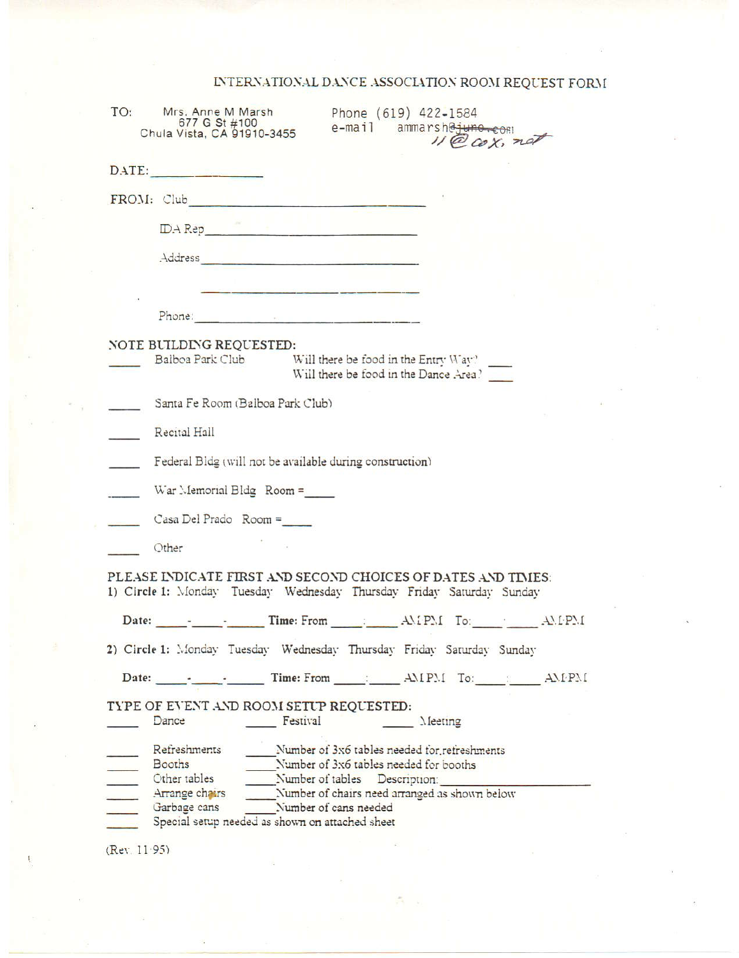## INTERNATIONAL DANCE ASSOCIATION ROOM REQUEST FORM

| TO:             | Mrs. Anne M Marsh<br>Phone (619) 422-1584<br>677 G St #100<br>e-mail ammarsheiune.com<br>Chula Vista, CA 91910-3455<br>$11600x$ , not                                                                                                |
|-----------------|--------------------------------------------------------------------------------------------------------------------------------------------------------------------------------------------------------------------------------------|
|                 | DATE:                                                                                                                                                                                                                                |
|                 |                                                                                                                                                                                                                                      |
|                 | $\boxed{\text{DA Rep}}{N}$                                                                                                                                                                                                           |
|                 |                                                                                                                                                                                                                                      |
|                 | <u> 1986 - Pierre Santana (m. 1987)</u><br>1986 - Pierre Santana, politikar politikar (h. 1988)                                                                                                                                      |
|                 | Phone: 2008 - 2008 - 2008 - 2008 - 2018 - 2018 - 2018 - 2018 - 2018 - 2018 - 2018 - 2018 - 2018 - 2018 - 2018                                                                                                                        |
|                 | NOTE BUILDING REQUESTED:<br>Baiboa Park Club<br>Will there be food in the Entry Way?<br>Will there be food in the Dance Area?                                                                                                        |
|                 | Santa Fe Room (Balboa Park Club)                                                                                                                                                                                                     |
| $\sim$ 10 $\mu$ | Recital Hall                                                                                                                                                                                                                         |
| $\mathcal{L}$   | Federal Bldg (will not be available during construction)                                                                                                                                                                             |
|                 | War Memorial Bldg $Room =$                                                                                                                                                                                                           |
|                 | Casa Del Prado Room =                                                                                                                                                                                                                |
|                 | Other                                                                                                                                                                                                                                |
|                 | PLEASE INDICATE FIRST AND SECOND CHOICES OF DATES AND TIMES:<br>1) Circle 1: Monday Tuesday Wednesday Thursday Friday Saturday Sunday                                                                                                |
|                 |                                                                                                                                                                                                                                      |
|                 | 2) Circle 1: Monday Tuesday Wednesday Thursday Friday Saturday Sunday                                                                                                                                                                |
|                 | Date: 1. 2. 2. Time: From 1. 2. AMPM To: 2. AMPM                                                                                                                                                                                     |
|                 | TYPE OF EVENT AND ROOM SETUP REQUESTED:<br>Dance<br>Festival<br>$\Lambda$ [eeting]                                                                                                                                                   |
|                 | Refreshments<br>Number of 3x6 tables needed for refreshments<br>Number of 3x6 tables needed for booths<br>Booths<br>Other tables<br>Number of tables Description:<br>Number of chairs need arranged as shown below<br>Arrange chairs |
|                 | Garbage cans Number of cans needed<br>Special setup needed as shown on attached sheet                                                                                                                                                |
| (Rev. 11.95)    |                                                                                                                                                                                                                                      |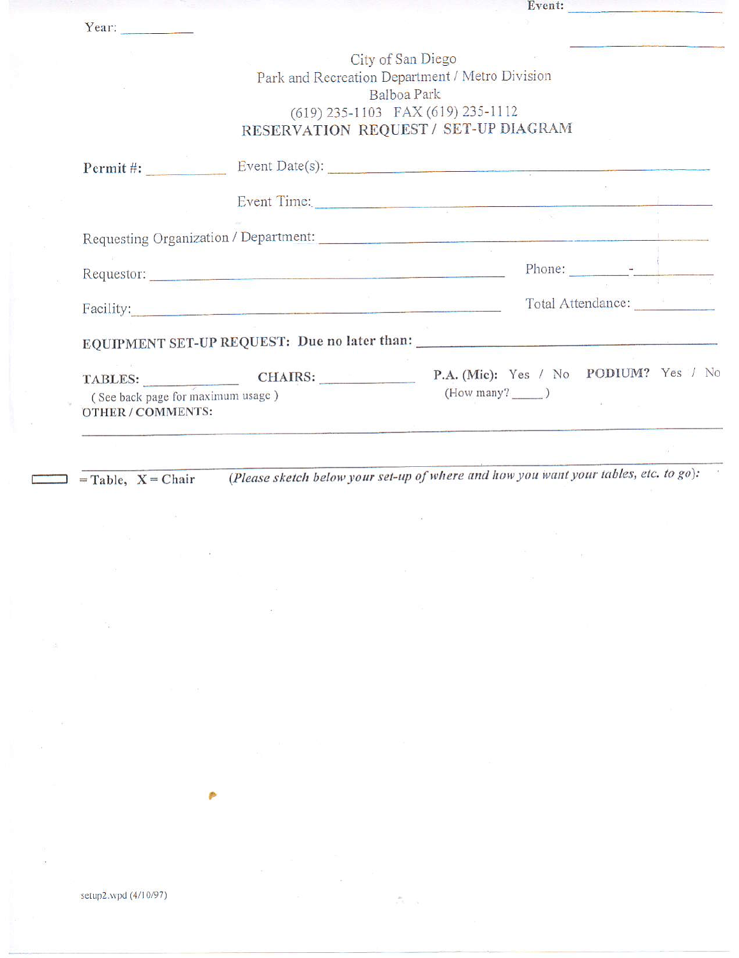| (See back page for maximum usage)<br>OTHER / COMMENTS: |                     | $(How many?$ $)$                                                                                                                            |                               |  |
|--------------------------------------------------------|---------------------|---------------------------------------------------------------------------------------------------------------------------------------------|-------------------------------|--|
|                                                        | TABLES: CHAIRS:     | P.A. (Mic): Yes / No PODIUM? Yes / No                                                                                                       |                               |  |
|                                                        |                     | EQUIPMENT SET-UP REQUEST: Due no later than:                                                                                                |                               |  |
|                                                        | Facility: Facility: |                                                                                                                                             | Total Attendance:             |  |
|                                                        |                     |                                                                                                                                             |                               |  |
|                                                        |                     |                                                                                                                                             | Phone: $\qquad \qquad \qquad$ |  |
|                                                        |                     |                                                                                                                                             |                               |  |
|                                                        |                     | Event Time:                                                                                                                                 |                               |  |
|                                                        |                     |                                                                                                                                             |                               |  |
|                                                        |                     | Permit #: Event Date(s): Event Date(s):                                                                                                     |                               |  |
|                                                        |                     | Park and Recreation Department / Metro Division<br>Balboa Park<br>(619) 235-1103 FAX (619) 235-1112<br>RESERVATION REQUEST / SET-UP DIAGRAM |                               |  |
|                                                        |                     | City of San Diego                                                                                                                           |                               |  |
| Year:                                                  |                     |                                                                                                                                             |                               |  |

 $\Box$  = Table, X = Chair

(Please sketch below your set-up of where and how you want your tables, etc. to go):  $\langle \delta \rangle$ 

Event: